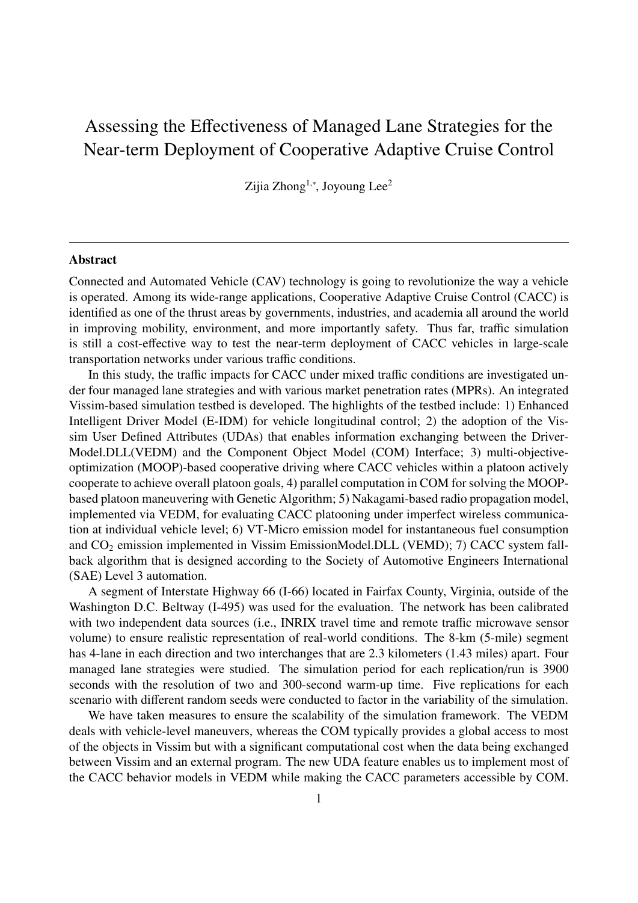## Assessing the Effectiveness of Managed Lane Strategies for the Near-term Deployment of Cooperative Adaptive Cruise Control

Zijia Zhong<sup>1,∗</sup>, Joyoung Lee<sup>2</sup>

## Abstract

Connected and Automated Vehicle (CAV) technology is going to revolutionize the way a vehicle is operated. Among its wide-range applications, Cooperative Adaptive Cruise Control (CACC) is identified as one of the thrust areas by governments, industries, and academia all around the world in improving mobility, environment, and more importantly safety. Thus far, traffic simulation is still a cost-effective way to test the near-term deployment of CACC vehicles in large-scale transportation networks under various traffic conditions.

In this study, the traffic impacts for CACC under mixed traffic conditions are investigated under four managed lane strategies and with various market penetration rates (MPRs). An integrated Vissim-based simulation testbed is developed. The highlights of the testbed include: 1) Enhanced Intelligent Driver Model (E-IDM) for vehicle longitudinal control; 2) the adoption of the Vissim User Defined Attributes (UDAs) that enables information exchanging between the Driver-Model.DLL(VEDM) and the Component Object Model (COM) Interface; 3) multi-objectiveoptimization (MOOP)-based cooperative driving where CACC vehicles within a platoon actively cooperate to achieve overall platoon goals, 4) parallel computation in COM for solving the MOOPbased platoon maneuvering with Genetic Algorithm; 5) Nakagami-based radio propagation model, implemented via VEDM, for evaluating CACC platooning under imperfect wireless communication at individual vehicle level; 6) VT-Micro emission model for instantaneous fuel consumption and  $CO<sub>2</sub>$  emission implemented in Vissim EmissionModel.DLL (VEMD); 7) CACC system fallback algorithm that is designed according to the Society of Automotive Engineers International (SAE) Level 3 automation.

A segment of Interstate Highway 66 (I-66) located in Fairfax County, Virginia, outside of the Washington D.C. Beltway (I-495) was used for the evaluation. The network has been calibrated with two independent data sources (i.e., INRIX travel time and remote traffic microwave sensor volume) to ensure realistic representation of real-world conditions. The 8-km (5-mile) segment has 4-lane in each direction and two interchanges that are 2.3 kilometers (1.43 miles) apart. Four managed lane strategies were studied. The simulation period for each replication/run is 3900 seconds with the resolution of two and 300-second warm-up time. Five replications for each scenario with different random seeds were conducted to factor in the variability of the simulation.

We have taken measures to ensure the scalability of the simulation framework. The VEDM deals with vehicle-level maneuvers, whereas the COM typically provides a global access to most of the objects in Vissim but with a significant computational cost when the data being exchanged between Vissim and an external program. The new UDA feature enables us to implement most of the CACC behavior models in VEDM while making the CACC parameters accessible by COM.